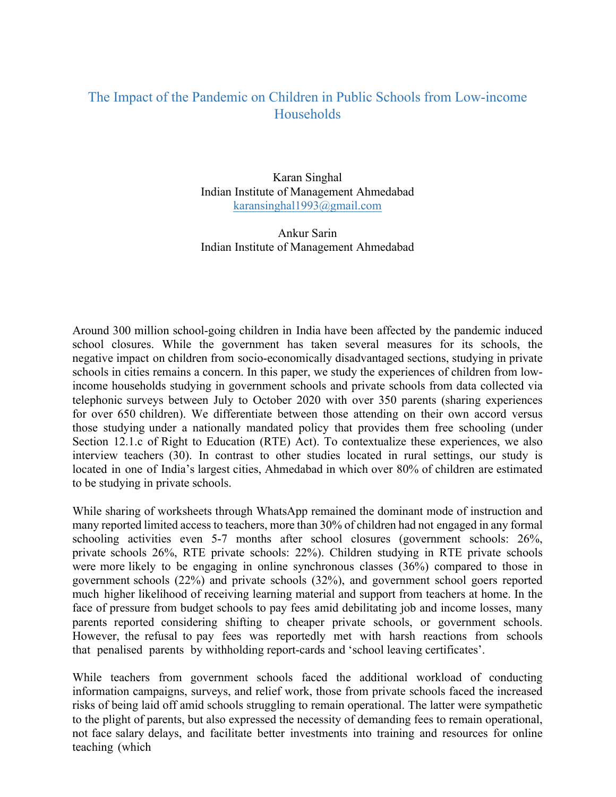## The Impact of the Pandemic on Children in Public Schools from Low-income **Households**

Karan Singhal Indian Institute of Management Ahmedabad karansinghal1993@gmail.com

Ankur Sarin Indian Institute of Management Ahmedabad

Around 300 million school-going children in India have been affected by the pandemic induced school closures. While the government has taken several measures for its schools, the negative impact on children from socio-economically disadvantaged sections, studying in private schools in cities remains a concern. In this paper, we study the experiences of children from lowincome households studying in government schools and private schools from data collected via telephonic surveys between July to October 2020 with over 350 parents (sharing experiences for over 650 children). We differentiate between those attending on their own accord versus those studying under a nationally mandated policy that provides them free schooling (under Section 12.1.c of Right to Education (RTE) Act). To contextualize these experiences, we also interview teachers (30). In contrast to other studies located in rural settings, our study is located in one of India's largest cities, Ahmedabad in which over 80% of children are estimated to be studying in private schools.

While sharing of worksheets through WhatsApp remained the dominant mode of instruction and many reported limited access to teachers, more than 30% of children had not engaged in any formal schooling activities even 5-7 months after school closures (government schools: 26%, private schools 26%, RTE private schools: 22%). Children studying in RTE private schools were more likely to be engaging in online synchronous classes (36%) compared to those in government schools (22%) and private schools (32%), and government school goers reported much higher likelihood of receiving learning material and support from teachers at home. In the face of pressure from budget schools to pay fees amid debilitating job and income losses, many parents reported considering shifting to cheaper private schools, or government schools. However, the refusal to pay fees was reportedly met with harsh reactions from schools that penalised parents by withholding report-cards and 'school leaving certificates'.

While teachers from government schools faced the additional workload of conducting information campaigns, surveys, and relief work, those from private schools faced the increased risks of being laid off amid schools struggling to remain operational. The latter were sympathetic to the plight of parents, but also expressed the necessity of demanding fees to remain operational, not face salary delays, and facilitate better investments into training and resources for online teaching (which